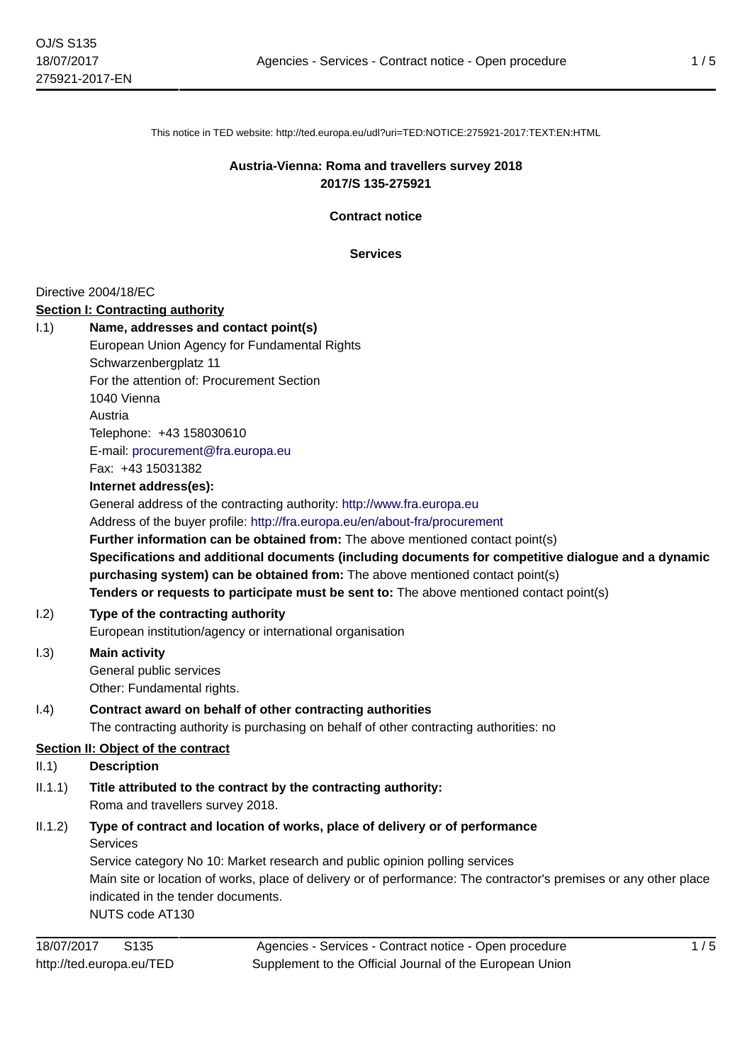This notice in TED website: http://ted.europa.eu/udl?uri=TED:NOTICE:275921-2017:TEXT:EN:HTML

### **Austria-Vienna: Roma and travellers survey 2018 2017/S 135-275921**

**Contract notice**

**Services**

#### Directive 2004/18/EC

#### **Section I: Contracting authority**

| 1.1)                               | Name, addresses and contact point(s)                                                                              |
|------------------------------------|-------------------------------------------------------------------------------------------------------------------|
|                                    | European Union Agency for Fundamental Rights                                                                      |
|                                    | Schwarzenbergplatz 11                                                                                             |
|                                    | For the attention of: Procurement Section                                                                         |
|                                    | 1040 Vienna                                                                                                       |
|                                    | Austria                                                                                                           |
|                                    | Telephone: +43 158030610                                                                                          |
|                                    | E-mail: procurement@fra.europa.eu                                                                                 |
|                                    | Fax: +43 15031382                                                                                                 |
|                                    | Internet address(es):                                                                                             |
|                                    | General address of the contracting authority: http://www.fra.europa.eu                                            |
|                                    | Address of the buyer profile: http://fra.europa.eu/en/about-fra/procurement                                       |
|                                    | Further information can be obtained from: The above mentioned contact point(s)                                    |
|                                    | Specifications and additional documents (including documents for competitive dialogue and a dynamic               |
|                                    | purchasing system) can be obtained from: The above mentioned contact point(s)                                     |
|                                    | Tenders or requests to participate must be sent to: The above mentioned contact point(s)                          |
| 1.2)                               | Type of the contracting authority                                                                                 |
|                                    | European institution/agency or international organisation                                                         |
| 1.3)                               | <b>Main activity</b>                                                                                              |
|                                    | General public services                                                                                           |
|                                    | Other: Fundamental rights.                                                                                        |
| (1.4)                              | Contract award on behalf of other contracting authorities                                                         |
|                                    | The contracting authority is purchasing on behalf of other contracting authorities: no                            |
| Section II: Object of the contract |                                                                                                                   |
| II.1)                              | <b>Description</b>                                                                                                |
| II.1.1)                            | Title attributed to the contract by the contracting authority:                                                    |
|                                    | Roma and travellers survey 2018.                                                                                  |
| II.1.2)                            | Type of contract and location of works, place of delivery or of performance                                       |
|                                    | Services                                                                                                          |
|                                    | Service category No 10: Market research and public opinion polling services                                       |
|                                    | Main site or location of works, place of delivery or of performance: The contractor's premises or any other place |
|                                    | indicated in the tender documents.                                                                                |
|                                    | NUTS code AT130                                                                                                   |
|                                    |                                                                                                                   |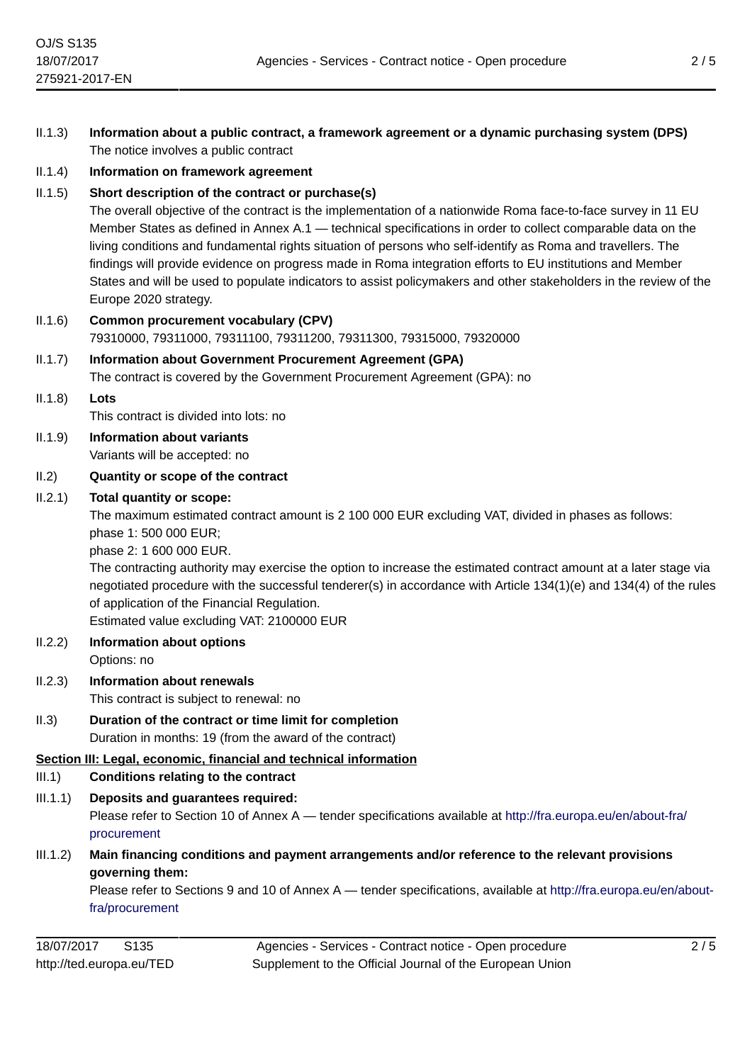- II.1.3) **Information about a public contract, a framework agreement or a dynamic purchasing system (DPS)** The notice involves a public contract
- II.1.4) **Information on framework agreement**

### II.1.5) **Short description of the contract or purchase(s)**

The overall objective of the contract is the implementation of a nationwide Roma face-to-face survey in 11 EU Member States as defined in Annex A.1 — technical specifications in order to collect comparable data on the living conditions and fundamental rights situation of persons who self-identify as Roma and travellers. The findings will provide evidence on progress made in Roma integration efforts to EU institutions and Member States and will be used to populate indicators to assist policymakers and other stakeholders in the review of the Europe 2020 strategy.

II.1.6) **Common procurement vocabulary (CPV)** 79310000, 79311000, 79311100, 79311200, 79311300, 79315000, 79320000

### II.1.7) **Information about Government Procurement Agreement (GPA)** The contract is covered by the Government Procurement Agreement (GPA): no

II.1.8) **Lots** This contract is divided into lots: no II.1.9) **Information about variants**

Variants will be accepted: no

### II.2) **Quantity or scope of the contract**

### II.2.1) **Total quantity or scope:**

The maximum estimated contract amount is 2 100 000 EUR excluding VAT, divided in phases as follows: phase 1: 500 000 EUR;

phase 2: 1 600 000 EUR.

The contracting authority may exercise the option to increase the estimated contract amount at a later stage via negotiated procedure with the successful tenderer(s) in accordance with Article 134(1)(e) and 134(4) of the rules of application of the Financial Regulation.

Estimated value excluding VAT: 2100000 EUR

- II.2.2) **Information about options** Options: no
- II.2.3) **Information about renewals** This contract is subject to renewal: no
- II.3) **Duration of the contract or time limit for completion** Duration in months: 19 (from the award of the contract)

# **Section III: Legal, economic, financial and technical information**

- III.1) **Conditions relating to the contract**
- III.1.1) **Deposits and guarantees required:**

Please refer to Section 10 of Annex A — tender specifications available at [http://fra.europa.eu/en/about-fra/](http://fra.europa.eu/en/about-fra/procurement) [procurement](http://fra.europa.eu/en/about-fra/procurement)

III.1.2) **Main financing conditions and payment arrangements and/or reference to the relevant provisions governing them:**

Please refer to Sections 9 and 10 of Annex A — tender specifications, available at [http://fra.europa.eu/en/about](http://fra.europa.eu/en/about-fra/procurement)[fra/procurement](http://fra.europa.eu/en/about-fra/procurement)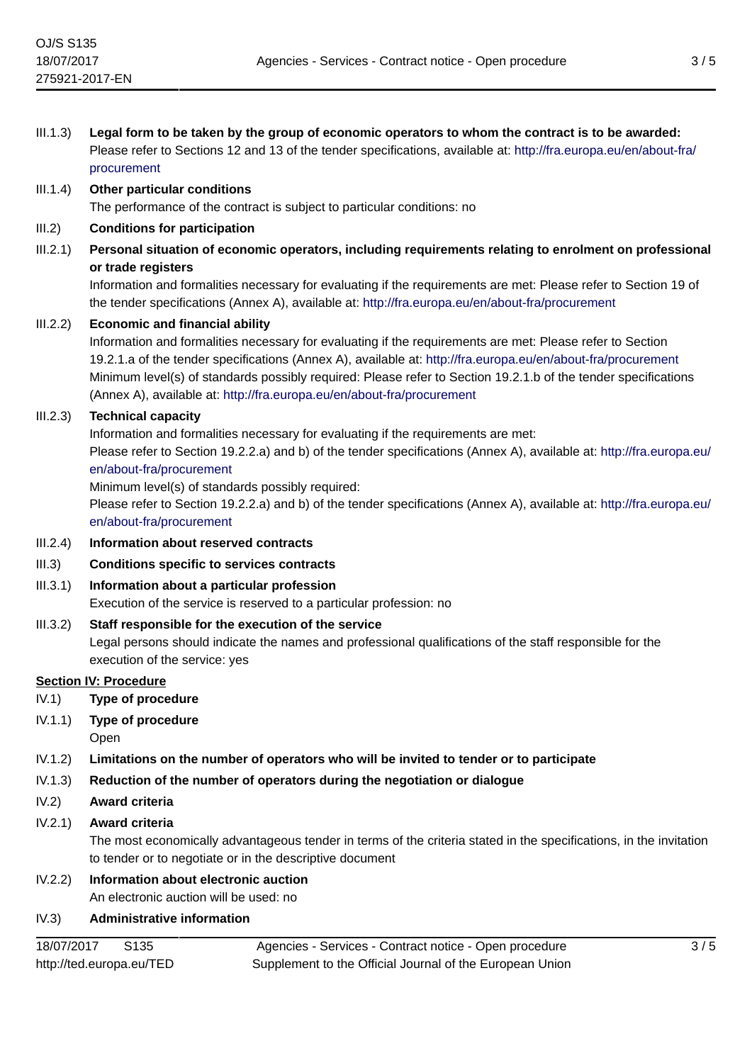| III.1.3) | Legal form to be taken by the group of economic operators to whom the contract is to be awarded:<br>Please refer to Sections 12 and 13 of the tender specifications, available at: http://fra.europa.eu/en/about-fra/<br>procurement                                                                                                                                                                                                                                       |
|----------|----------------------------------------------------------------------------------------------------------------------------------------------------------------------------------------------------------------------------------------------------------------------------------------------------------------------------------------------------------------------------------------------------------------------------------------------------------------------------|
| III.1.4) | <b>Other particular conditions</b><br>The performance of the contract is subject to particular conditions: no                                                                                                                                                                                                                                                                                                                                                              |
| III.2)   | <b>Conditions for participation</b>                                                                                                                                                                                                                                                                                                                                                                                                                                        |
| III.2.1) | Personal situation of economic operators, including requirements relating to enrolment on professional<br>or trade registers<br>Information and formalities necessary for evaluating if the requirements are met: Please refer to Section 19 of                                                                                                                                                                                                                            |
| III.2.2) | the tender specifications (Annex A), available at: http://fra.europa.eu/en/about-fra/procurement<br><b>Economic and financial ability</b>                                                                                                                                                                                                                                                                                                                                  |
|          | Information and formalities necessary for evaluating if the requirements are met: Please refer to Section<br>19.2.1.a of the tender specifications (Annex A), available at: http://fra.europa.eu/en/about-fra/procurement<br>Minimum level(s) of standards possibly required: Please refer to Section 19.2.1.b of the tender specifications<br>(Annex A), available at: http://fra.europa.eu/en/about-fra/procurement                                                      |
| III.2.3) | <b>Technical capacity</b><br>Information and formalities necessary for evaluating if the requirements are met:<br>Please refer to Section 19.2.2.a) and b) of the tender specifications (Annex A), available at: http://fra.europa.eu/<br>en/about-fra/procurement<br>Minimum level(s) of standards possibly required:<br>Please refer to Section 19.2.2.a) and b) of the tender specifications (Annex A), available at: http://fra.europa.eu/<br>en/about-fra/procurement |
| III.2.4) | Information about reserved contracts                                                                                                                                                                                                                                                                                                                                                                                                                                       |
| III.3)   | <b>Conditions specific to services contracts</b>                                                                                                                                                                                                                                                                                                                                                                                                                           |
| III.3.1) | Information about a particular profession<br>Execution of the service is reserved to a particular profession: no                                                                                                                                                                                                                                                                                                                                                           |
| III.3.2) | Staff responsible for the execution of the service<br>Legal persons should indicate the names and professional qualifications of the staff responsible for the<br>execution of the service: yes                                                                                                                                                                                                                                                                            |
|          | <b>Section IV: Procedure</b>                                                                                                                                                                                                                                                                                                                                                                                                                                               |
| IV.1)    | <b>Type of procedure</b>                                                                                                                                                                                                                                                                                                                                                                                                                                                   |
| IV.1.1)  | <b>Type of procedure</b><br>Open                                                                                                                                                                                                                                                                                                                                                                                                                                           |
| IV.1.2)  | Limitations on the number of operators who will be invited to tender or to participate                                                                                                                                                                                                                                                                                                                                                                                     |
| IV.1.3)  | Reduction of the number of operators during the negotiation or dialogue                                                                                                                                                                                                                                                                                                                                                                                                    |
| IV.2)    | Award criteria                                                                                                                                                                                                                                                                                                                                                                                                                                                             |
| IV.2.1)  | Award criteria<br>The most economically advantageous tender in terms of the criteria stated in the specifications, in the invitation<br>to tender or to negotiate or in the descriptive document                                                                                                                                                                                                                                                                           |
| IV.2.2)  | Information about electronic auction                                                                                                                                                                                                                                                                                                                                                                                                                                       |

An electronic auction will be used: no

# IV.3) **Administrative information**

Agencies - Services - Contract notice - Open procedure Supplement to the Official Journal of the European Union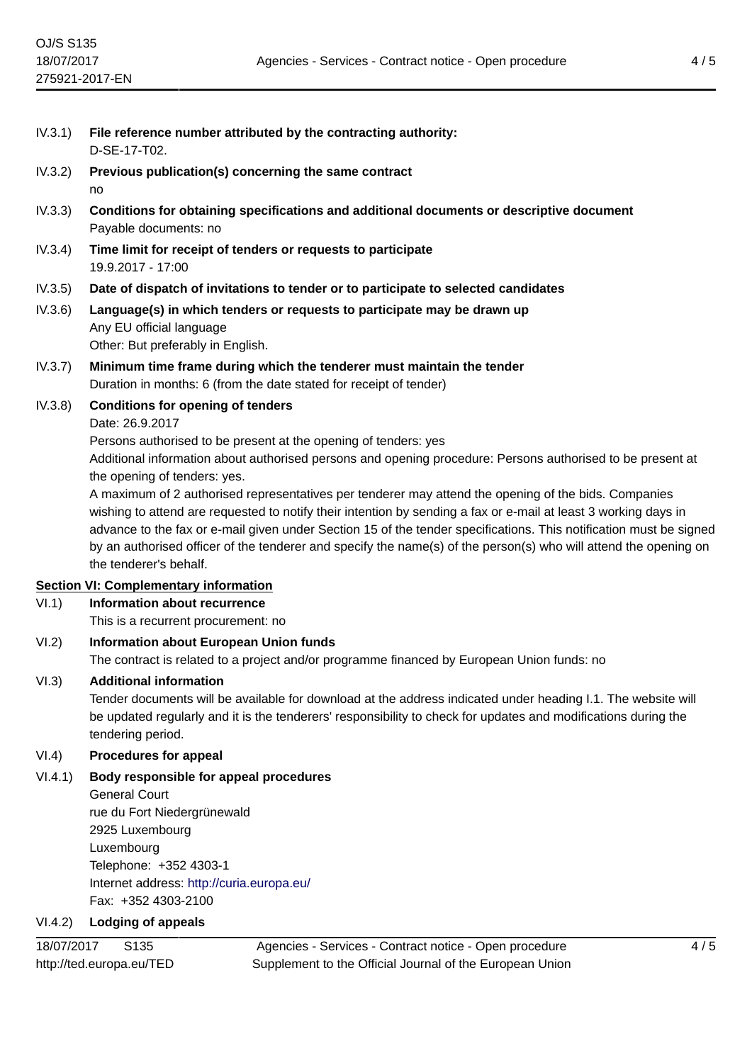- IV.3.1) **File reference number attributed by the contracting authority:** D-SE-17-T02.
- IV.3.2) **Previous publication(s) concerning the same contract** no
- IV.3.3) **Conditions for obtaining specifications and additional documents or descriptive document** Payable documents: no
- IV.3.4) **Time limit for receipt of tenders or requests to participate** 19.9.2017 - 17:00
- IV.3.5) **Date of dispatch of invitations to tender or to participate to selected candidates**
- IV.3.6) **Language(s) in which tenders or requests to participate may be drawn up** Any EU official language Other: But preferably in English.
- IV.3.7) **Minimum time frame during which the tenderer must maintain the tender** Duration in months: 6 (from the date stated for receipt of tender)
- IV.3.8) **Conditions for opening of tenders**
	- Date: 26.9.2017

Persons authorised to be present at the opening of tenders: yes

Additional information about authorised persons and opening procedure: Persons authorised to be present at the opening of tenders: yes.

A maximum of 2 authorised representatives per tenderer may attend the opening of the bids. Companies wishing to attend are requested to notify their intention by sending a fax or e-mail at least 3 working days in advance to the fax or e-mail given under Section 15 of the tender specifications. This notification must be signed by an authorised officer of the tenderer and specify the name(s) of the person(s) who will attend the opening on the tenderer's behalf.

# **Section VI: Complementary information**

VI.1) **Information about recurrence**

This is a recurrent procurement: no

VI.2) **Information about European Union funds**

The contract is related to a project and/or programme financed by European Union funds: no

# VI.3) **Additional information**

Tender documents will be available for download at the address indicated under heading I.1. The website will be updated regularly and it is the tenderers' responsibility to check for updates and modifications during the tendering period.

# VI.4) **Procedures for appeal**

VI.4.1) **Body responsible for appeal procedures**

### General Court rue du Fort Niedergrünewald

2925 Luxembourg Luxembourg Telephone: +352 4303-1 Internet address: <http://curia.europa.eu/> Fax: +352 4303-2100

# VI.4.2) **Lodging of appeals**

18/07/2017 S135 http://ted.europa.eu/TED